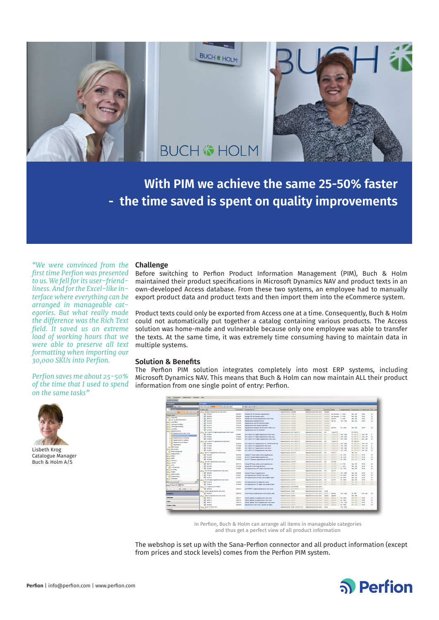

**With PIM we achieve the same 25-50% faster - the time saved is spent on quality improvements**

*"We were convinced from the first time Perfion was presented to us. We fell for its user-friendliness. And for the Excel-like interface where everything can be arranged in manageable categories. But what really made the difference was the Rich Text field. It saved us an extreme load of working hours that we were able to preserve all text formatting when importing our 30,000 SKUs into Perfion.*

# *Perfion saves me about 25-50% of the time that I used to spend on the same tasks"*



Lisbeth Krog Catalogue Manager Buch & Holm A/S

# **Challenge**

Before switching to Perfion Product Information Management (PIM), Buch & Holm maintained their product specifications in Microsoft Dynamics NAV and product texts in an own-developed Access database. From these two systems, an employee had to manually export product data and product texts and then import them into the eCommerce system.

Product texts could only be exported from Access one at a time. Consequently, Buch & Holm could not automatically put together a catalog containing various products. The Access solution was home-made and vulnerable because only one employee was able to transfer the texts. At the same time, it was extremely time consuming having to maintain data in multiple systems.

## **Solution & Benefits**

The Perfion PIM solution integrates completely into most ERP systems, including Microsoft Dynamics NAV. This means that Buch & Holm can now maintain ALL their product information from one single point of entry: Perfion.



In Perfion, Buch & Holm can arrange all items in manageable categories and thus get a perfect view of all product information

The webshop is set up with the Sana-Perfion connector and all product information (except from prices and stock levels) comes from the Perfion PIM system.